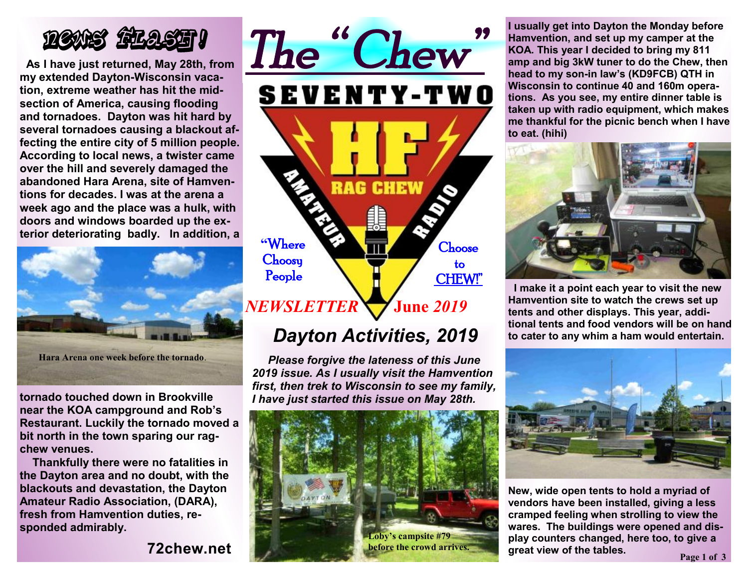

**As I have just returned, May 28th, from my extended Dayton-Wisconsin vacation, extreme weather has hit the midsection of America, causing flooding and tornadoes. Dayton was hit hard by several tornadoes causing a blackout affecting the entire city of 5 million people. According to local news, a twister came over the hill and severely damaged the abandoned Hara Arena, site of Hamventions for decades. I was at the arena a week ago and the place was a hulk, with doors and windows boarded up the exterior deteriorating badly. In addition, a** 



**tornado touched down in Brookville near the KOA campground and Rob's Restaurant. Luckily the tornado moved a bit north in the town sparing our ragchew venues.** 

 **Thankfully there were no fatalities in the Dayton area and no doubt, with the blackouts and devastation, the Dayton Amateur Radio Association, (DARA), fresh from Hamvention duties, responded admirably.** 

**72chew.net**



## *Dayton Activities, 2019*

 *Please forgive the lateness of this June 2019 issue. As I usually visit the Hamvention first, then trek to Wisconsin to see my family, I have just started this issue on May 28th.* 



**I usually get into Dayton the Monday before Hamvention, and set up my camper at the KOA. This year I decided to bring my 811 amp and big 3kW tuner to do the Chew, then head to my son-in law's (KD9FCB) QTH in Wisconsin to continue 40 and 160m operations. As you see, my entire dinner table is taken up with radio equipment, which makes me thankful for the picnic bench when I have to eat. (hihi)** 



**I make it a point each year to visit the new Hamvention site to watch the crews set up tents and other displays. This year, additional tents and food vendors will be on hand to cater to any whim a ham would entertain.** 



**New, wide open tents to hold a myriad of vendors have been installed, giving a less cramped feeling when strolling to view the wares. The buildings were opened and display counters changed, here too, to give a great view of the tables.**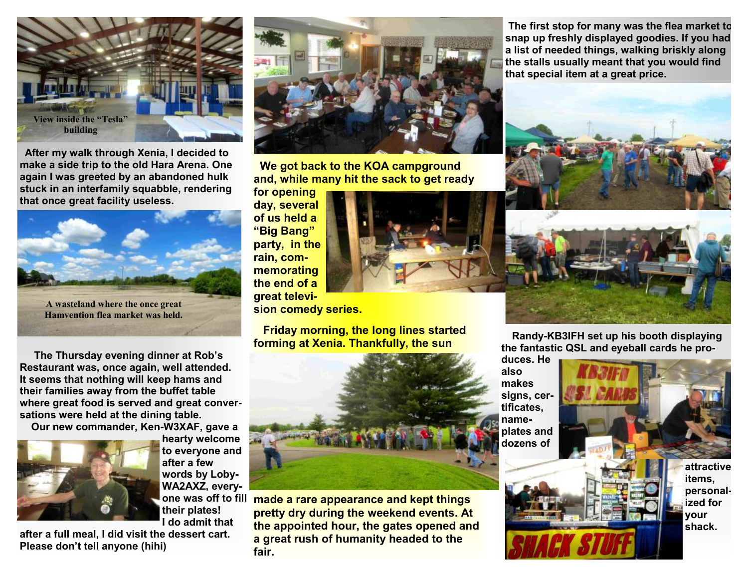

**After my walk through Xenia, I decided to make a side trip to the old Hara Arena. One again I was greeted by an abandoned hulk stuck in an interfamily squabble, rendering that once great facility useless.** 



**The Thursday evening dinner at Rob's Restaurant was, once again, well attended. It seems that nothing will keep hams and their families away from the buffet table where great food is served and great conversations were held at the dining table.** 

**Our new commander, Ken-W3XAF, gave a** 



**hearty welcome to everyone and after a few words by Loby-WA2AXZ, everytheir plates! I do admit that** 

**after a full meal, I did visit the dessert cart. Please don't tell anyone (hihi)**



 **We got back to the KOA campground and, while many hit the sack to get ready** 

**for opening day, several of us held a "Big Bang" party, in the rain, commemorating the end of a great television comedy series.** 

 **Friday morning, the long lines started forming at Xenia. Thankfully, the sun** 



**made a rare appearance and kept things one was off to fill pretty dry during the weekend events. At the appointed hour, the gates opened and a great rush of humanity headed to the fair.**

**The first stop for many was the flea market to snap up freshly displayed goodies. If you had a list of needed things, walking briskly along the stalls usually meant that you would find that special item at a great price.** 



 **Randy-KB3IFH set up his booth displaying the fantastic QSL and eyeball cards he pro-**

**duces. He also makes signs, certificates, nameplates and dozens of**